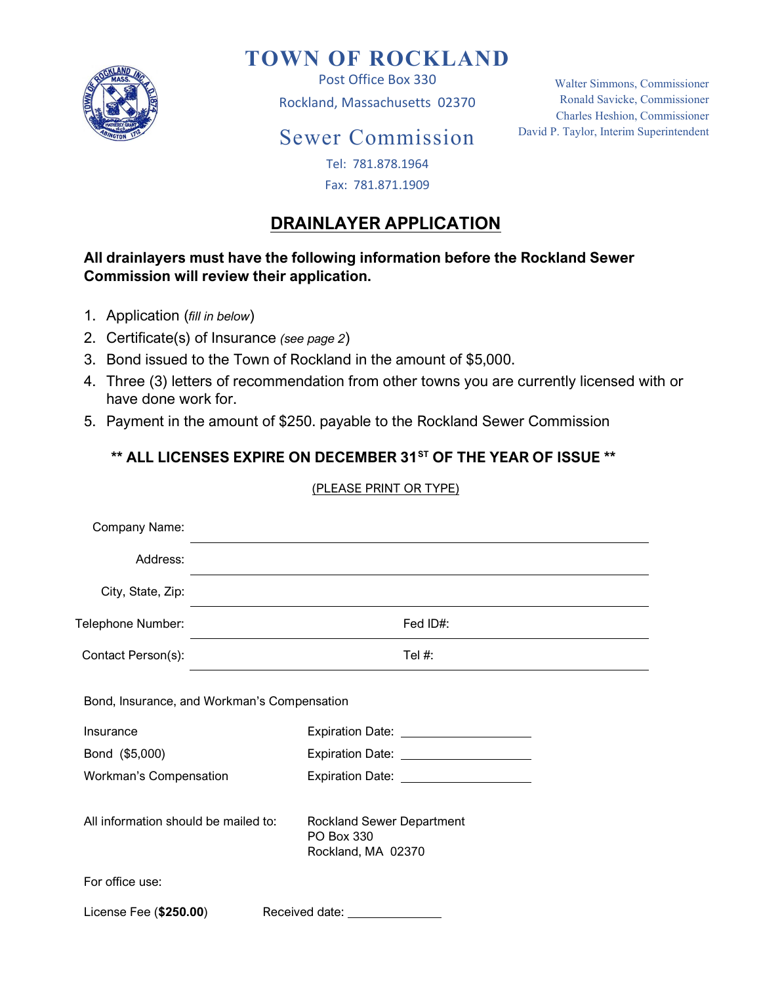

# TOWN OF ROCKLAND

Post Office Box 330 Rockland, Massachusetts 02370

## Sewer Commission

Walter Simmons, Commissioner Ronald Savicke, Commissioner Charles Heshion, Commissioner David P. Taylor, Interim Superintendent

#### Tel: 781.878.1964 Fax: 781.871.1909

### DRAINLAYER APPLICATION

#### All drainlayers must have the following information before the Rockland Sewer Commission will review their application.

- 1. Application (fill in below)
- 2. Certificate(s) of Insurance (see page 2)
- 3. Bond issued to the Town of Rockland in the amount of \$5,000.
- 4. Three (3) letters of recommendation from other towns you are currently licensed with or have done work for.
- 5. Payment in the amount of \$250. payable to the Rockland Sewer Commission

#### \*\* ALL LICENSES EXPIRE ON DECEMBER 31<sup>ST</sup> OF THE YEAR OF ISSUE \*\*

#### (PLEASE PRINT OR TYPE)

| Company Name:                                            |                                                                                                                 |  |
|----------------------------------------------------------|-----------------------------------------------------------------------------------------------------------------|--|
| Address:                                                 |                                                                                                                 |  |
| City, State, Zip:                                        | the contract of the contract of the contract of the contract of the contract of the contract of the contract of |  |
| Telephone Number:                                        | Fed ID#:                                                                                                        |  |
| Contact Person(s):                                       | Tel $#$ :<br>the control of the control of the control of the control of the control of the control of          |  |
| Bond, Insurance, and Workman's Compensation<br>Insurance |                                                                                                                 |  |
|                                                          | Expiration Date: _____________________                                                                          |  |
| Bond (\$5,000)                                           | Expiration Date: ______________________                                                                         |  |
| Workman's Compensation                                   | Expiration Date: _____________________                                                                          |  |
| All information should be mailed to:                     | <b>Rockland Sewer Department</b><br>PO Box 330<br>Rockland, MA 02370                                            |  |
| For office use:                                          |                                                                                                                 |  |
| License Fee (\$250.00)                                   | Received date: Necessary Received date:                                                                         |  |